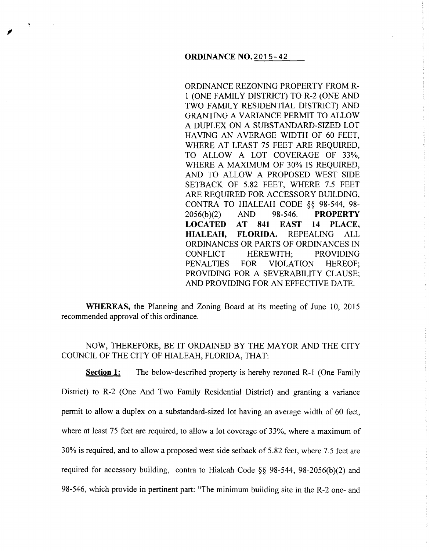ORDINANCE REZONING PROPERTY FROM R-1 (ONE FAMILY DISTRICT) TO R-2 (ONE AND TWO FAMILY RESIDENTIAL DISTRICT) AND GRANTING A VARIANCE PERMIT TO ALLOW A DUPLEX ON A SUBSTANDARD-SIZED LOT HAVING AN AVERAGE WIDTH OF 60 FEET, WHERE AT LEAST 75 FEET ARE REQUIRED, TO ALLOW A LOT COVERAGE OF 33%, WHERE A MAXIMUM OF 30% IS REQUIRED, AND TO ALLOW A PROPOSED WEST SIDE SETBACK OF 5.82 FEET, WHERE 7.5 FEET ARE REQUIRED FOR ACCESSORY BUILDING, CONTRA TO HIALEAH CODE *§§* 98-544, 98- 2056(b)(2) AND 98-546. **PROPERTY** LOCATED AT 841 EAST 14 PLACE, HIALEAH, FLORIDA. REPEALING ALL ORDINANCES OR PARTS OF ORDINANCES IN CONFLICT HEREWITH; PROVIDING PENALTIES FOR VIOLATION HEREOF; PROVIDING FOR A SEVERABILITY CLAUSE; AND PROVIDING FOR AN EFFECTIVE DATE.

WHEREAS, the Planning and Zoning Board at its meeting of June 10, 2015 recommended approval of this ordinance.

## NOW, THEREFORE, BE IT ORDAINED BY THE MAYOR AND THE CITY COUNCIL OF THE CITY OF HIALEAH, FLORIDA, THAT:

Section 1: The below-described property is hereby rezoned R-1 (One Family District) to R-2 (One And Two Family Residential District) and granting a variance permit to allow a duplex on a substandard-sized lot having an average width of 60 feet, where at least 75 feet are required, to allow a lot coverage of 33%, where a maximum of 30% is required, and to allow a proposed west side setback of 5.82 feet, where 7.5 feet are required for accessory building, contra to Hialeah Code *§§* 98-544, 98-2056(b)(2) and 98-546, which provide in pertinent part: "The minimum building site in the R-2 one- and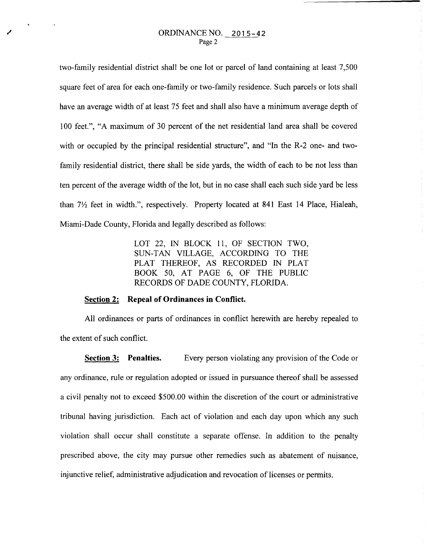two-family residential district shall be one lot or parcel of land containing at least 7,500 square feet of area for each one-family or two-family residence. Such parcels or lots shall have an average width of at least 75 feet and shall also have a minimum average depth of 100 feet.", "A maximum of 30 percent of the net residential land area shall be covered with or occupied by the principal residential structure", and "In the R-2 one- and twofamily residential district, there shall be side yards, the width of each to be not less than ten percent of the average width of the lot, but in no case shall each such side yard be less than  $7\frac{1}{2}$  feet in width.", respectively. Property located at 841 East 14 Place, Hialeah, Miami-Dade County, Florida and legally described as follows:

> LOT 22, IN BLOCK 11, OF SECTION TWO, SUN-TAN VILLAGE, ACCORDING TO THE PLAT THEREOF, AS RECORDED IN PLAT BOOK 50, AT PAGE 6, OF THE PUBLIC RECORDS OF DADE COUNTY, FLORIDA.

## **Section 2: Repeal of Ordinances in Conflict.**

All ordinances or parts of ordinances in conflict herewith are hereby repealed to the extent of such conflict.

**Section 3:** Penalties. Every person violating any provision of the Code or any ordinance, rule or regulation adopted or issued in pursuance thereof shall be assessed a civil penalty not to exceed \$500.00 within the discretion of the court or administrative tribunal having jurisdiction. Each act of violation and each day upon which any such violation shall occur shall constitute a separate offense. In addition to the penalty prescribed above, the city may pursue other remedies such as abatement of nuisance, injunctive relief, administrative adjudication and revocation of licenses or permits.